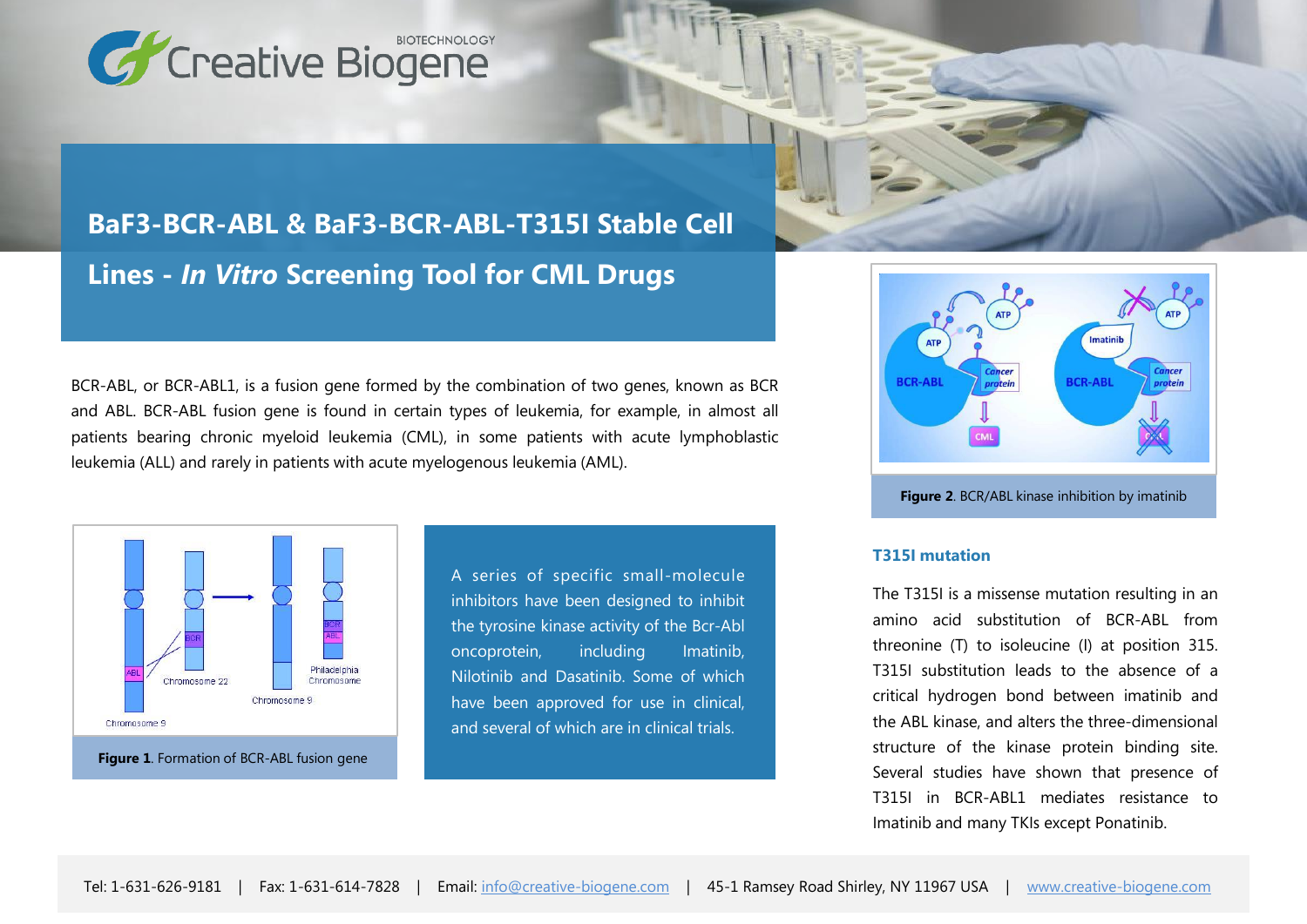

# **BaF3-BCR-ABL & BaF3-BCR-ABL-T315I Stable Cell Lines -** *In Vitro* **Screening Tool for CML Drugs**

BCR-ABL, or BCR-ABL1, is a fusion gene formed by the combination of two genes, known as BCR and ABL. BCR-ABL fusion gene is found in certain types of leukemia, for example, in almost all patients bearing chronic myeloid leukemia (CML), in some patients with acute lymphoblastic leukemia (ALL) and rarely in patients with acute myelogenous leukemia (AML).



A series of specific small-molecule inhibitors have been designed to inhibit the tyrosine kinase activity of the Bcr-Abl oncoprotein, including Imatinib, Nilotinib and Dasatinib. Some of which have been approved for use in clinical, and several of which are in clinical trials.



**Figure 2**. BCR/ABL kinase inhibition by imatinib

#### **T315I mutation**

The T315I is a missense mutation resulting in an amino acid substitution of BCR-ABL from threonine (T) to isoleucine (I) at position 315. T315I substitution leads to the absence of a critical hydrogen bond between imatinib and the ABL kinase, and alters the three-dimensional structure of the kinase protein binding site. Several studies have shown that presence of T315I in BCR-ABL1 mediates resistance to Imatinib and many TKIs except Ponatinib.